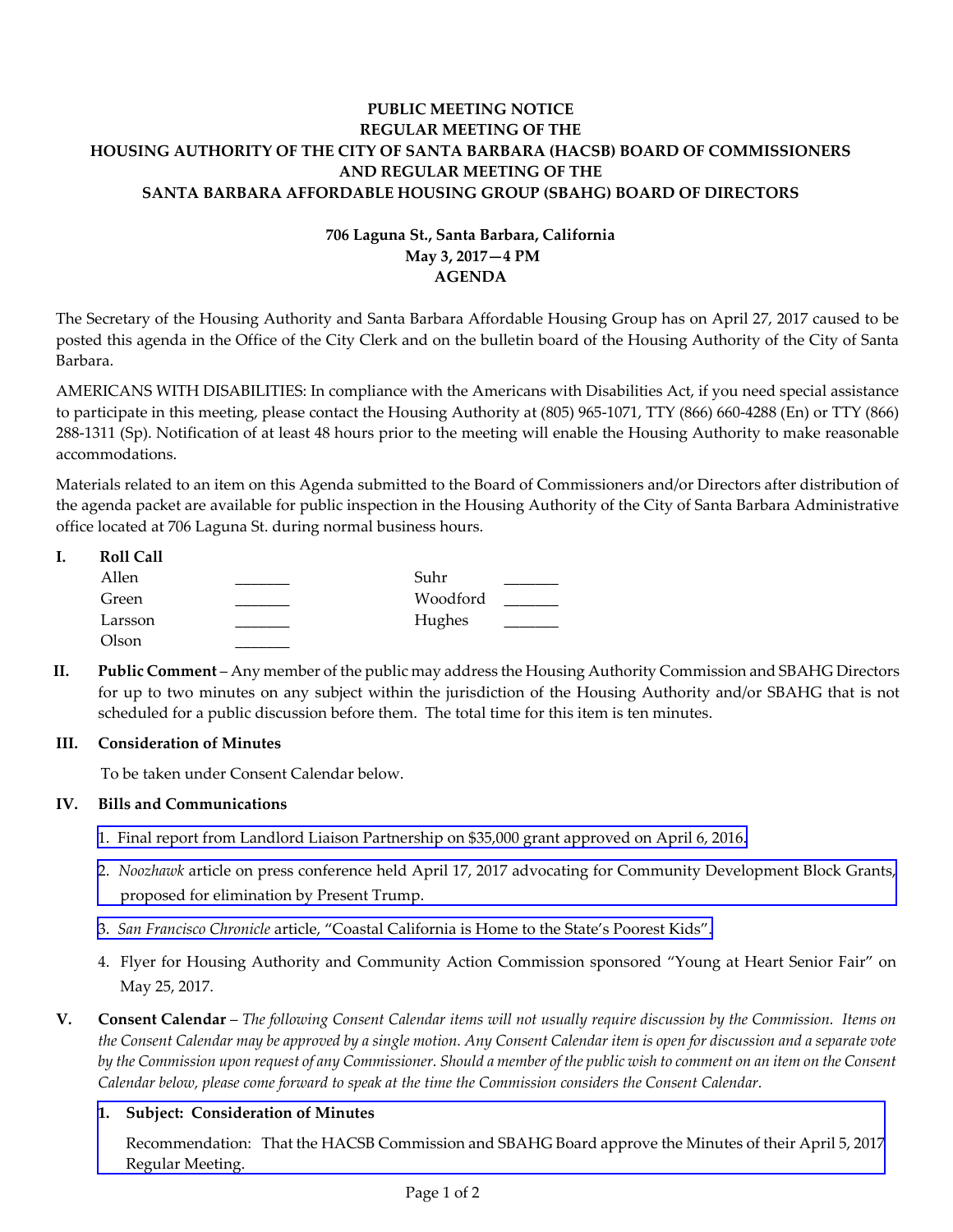# **PUBLIC MEETING NOTICE REGULAR MEETING OF THE HOUSING AUTHORITY OF THE CITY OF SANTA BARBARA (HACSB) BOARD OF COMMISSIONERS AND REGULAR MEETING OF THE SANTA BARBARA AFFORDABLE HOUSING GROUP (SBAHG) BOARD OF DIRECTORS**

# **706 Laguna St., Santa Barbara, California May 3, 2017—4 PM AGENDA**

The Secretary of the Housing Authority and Santa Barbara Affordable Housing Group has on April 27, 2017 caused to be posted this agenda in the Office of the City Clerk and on the bulletin board of the Housing Authority of the City of Santa Barbara.

AMERICANS WITH DISABILITIES: In compliance with the Americans with Disabilities Act, if you need special assistance to participate in this meeting, please contact the Housing Authority at (805) 965‐1071, TTY (866) 660‐4288 (En) or TTY (866) 288‐1311 (Sp). Notification of at least 48 hours prior to the meeting will enable the Housing Authority to make reasonable accommodations.

Materials related to an item on this Agenda submitted to the Board of Commissioners and/or Directors after distribution of the agenda packet are available for public inspection in the Housing Authority of the City of Santa Barbara Administrative office located at 706 Laguna St. during normal business hours.

| I. | <b>Roll Call</b> |          |  |
|----|------------------|----------|--|
|    | Allen            | Suhr     |  |
|    | Green            | Woodford |  |
|    | Larsson          | Hughes   |  |
|    | Olson            |          |  |

**II. Public Comment** – Any member of the public may address the Housing Authority Commission and SBAHG Directors for up to two minutes on any subject within the jurisdiction of the Housing Authority and/or SBAHG that is not scheduled for a public discussion before them. The total time for this item is ten minutes.

## **III. Consideration of Minutes**

To be taken under Consent Calendar below.

## **IV. Bills and Communications**

- 1. Final report from Landlord Liaison [Partnership](http://hacsb.org/download/meetings_2017/items/05_may/item_IV_I_2017_05_03.pdf) on \$35,000 grant approved on April 6, 2016.
- 2. *Noozhawk* article on press conference held April 17, 2017 advocating for Community [Development](http://hacsb.org/download/meetings_2017/items/05_may/item_IV_II_2017_05_03.pdf) Block Grants, proposed for elimination by Present Trump.
- 3. *San Francisco Chronicle* article, "Coastal [California](http://hacsb.org/download/meetings_2017/items/05_may/item_IV_III_2017_05_03.pdf) is Home to the State's Poorest Kids".
- 4. Flyer for Housing Authority and Community Action Commission sponsored "Young at Heart Senior Fair" on May 25, 2017.
- V. Consent Calendar The following Consent Calendar items will not usually require discussion by the Commission. Items on the Consent Calendar may be approved by a single motion. Any Consent Calendar item is open for discussion and a separate vote by the Commission upon request of any Commissioner. Should a member of the public wish to comment on an item on the Consent *Calendar below, please come forward to speak at the time the Commission considers the Consent Calendar.*

## **1. Subject: Consideration of Minutes**

[Recommendation:](http://hacsb.org/download/meetings_2017/items/05_may/item_V_I_2017_05_03.pdf) That the HACSB Commission and SBAHG Board approve the Minutes of their April 5, 2017 Regular Meeting.